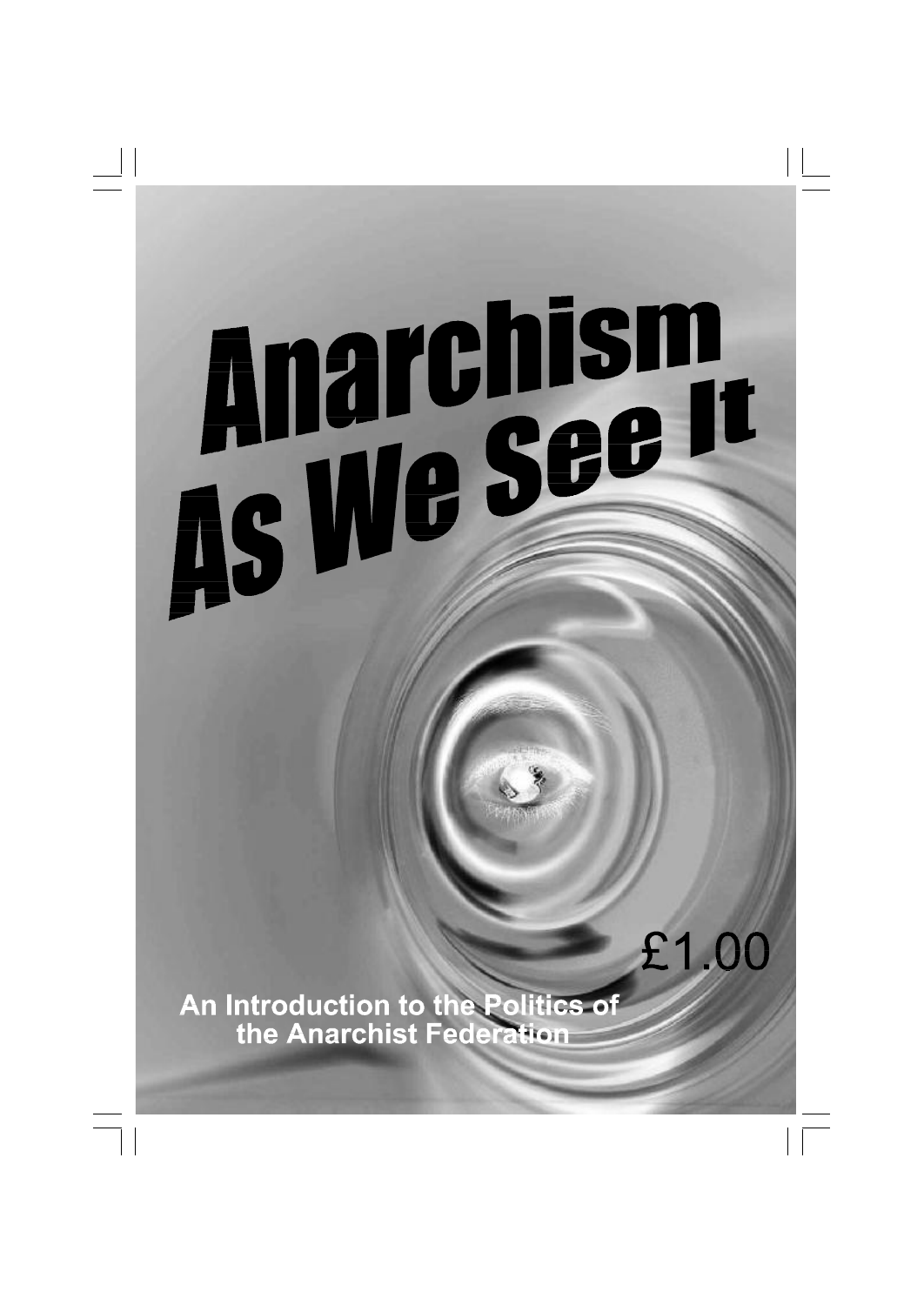# **Anarchism.**<br>As We See It

An Introduction to the Politics of the Anarchist Federation

£1.00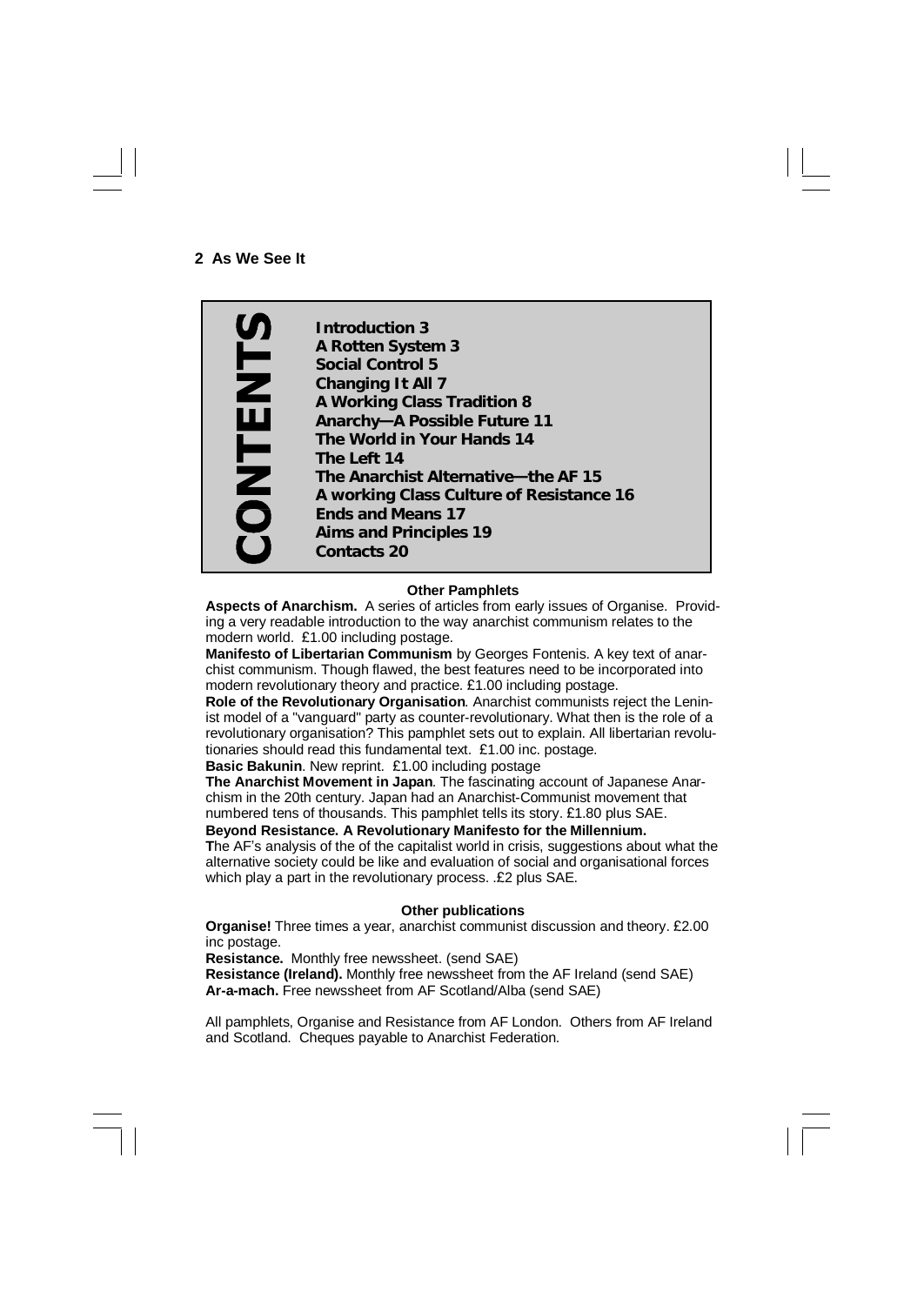**ONTENTS Introduction 3 A Rotten System 3 Social Control 5 Changing It All 7 A Working Class Tradition 8 Anarchy— A Possible Future 11 The World in Your Hands 14 The Left 14 The Anarchist Alternative— the AF 15 A working Class Culture of Resistance 16 Ends and Means 17 Aims and Principles 19 Contacts 20**

#### **Other Pamphlets**

**Aspects of Anarchism.** A series of articles from early issues of Organise. Providing a very readable introduction to the way anarchist communism relates to the modern world. £ 1.00 including postage.

**Manifesto of Libertarian Communism** by Georges Fontenis. A key text of anarchist communism. Though flawed, the best features need to be incorporated into modern revolutionary theory and practice. £ 1.00 including postage.

**Role of the Revolutionary Organisation**. Anarchist communists reject the Leninist model of a "vanguard" party as counter-revolutionary. What then is the role of a revolutionary organisation? This pamphlet sets out to explain. All libertarian revolutionaries should read this fundamental text. £ 1.00 inc. postage.

**Basic Bakunin**. New reprint. £ 1.00 including postage

**The Anarchist Movement in Japan**. The fascinating account of Japanese Anarchism in the 20th century. Japan had an Anarchist-Communist movement that numbered tens of thousands. This pamphlet tells its story. £ 1.80 plus SAE.

**Beyond Resistance. A Revolutionary Manifesto for the Millennium.** 

**T**he AF's analysis of the of the capitalist world in crisis, suggestions about what the alternative society could be like and evaluation of social and organisational forces which play a part in the revolutionary process. .£2 plus SAE.

#### **Other publications**

**Organise!** Three times a year, anarchist communist discussion and theory. £2.00 inc postage.

**Resistance.** Monthly free newssheet. (send SAE)

**Resistance (Ireland).** Monthly free newssheet from the AF Ireland (send SAE) **Ar-a-mach.** Free newssheet from AF Scotland/Alba (send SAE)

All pamphlets, Organise and Resistance from AF London. Others from AF Ireland and Scotland. Cheques payable to Anarchist Federation.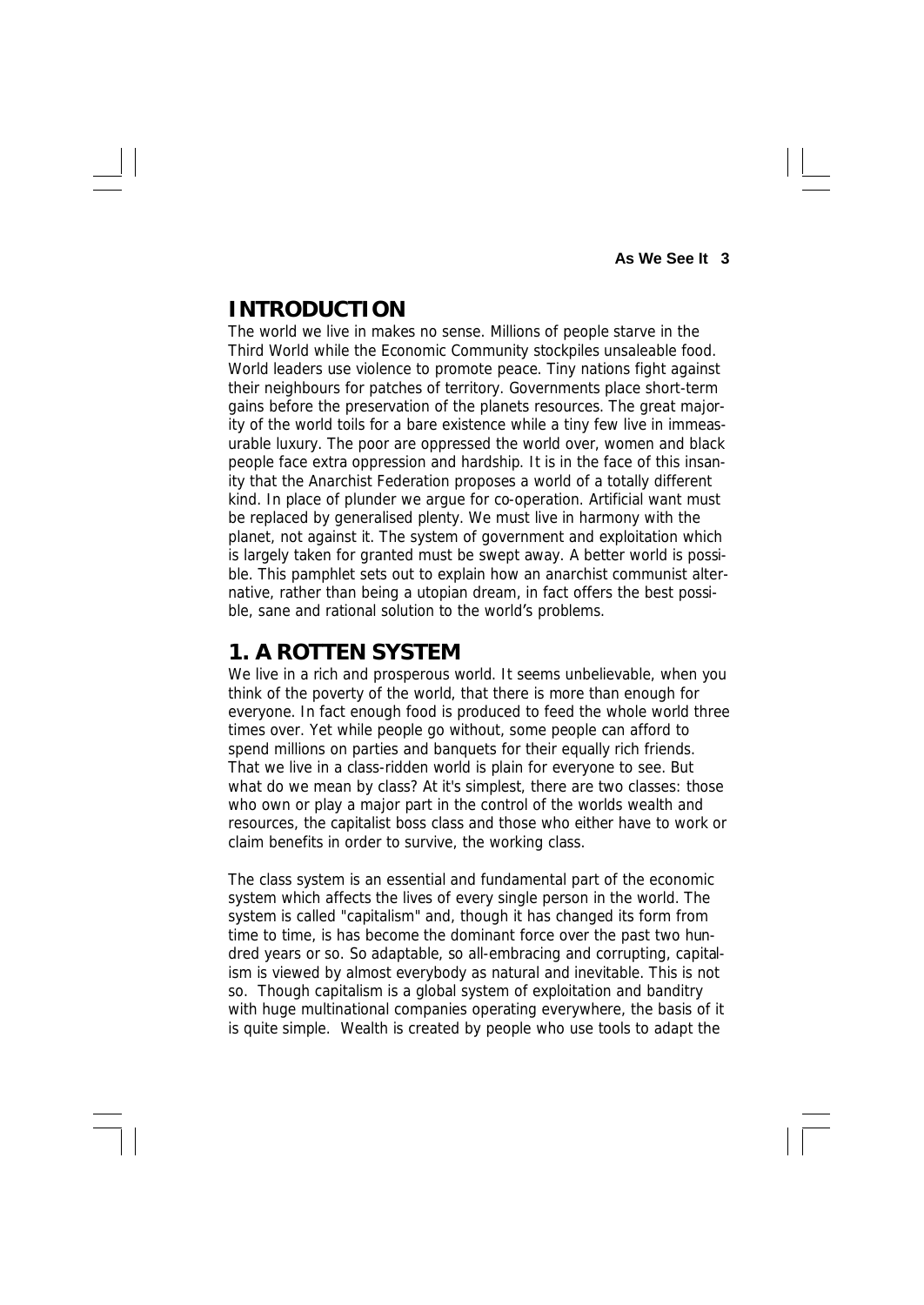## **INTRODUCTION**

The world we live in makes no sense. Millions of people starve in the Third World while the Economic Community stockpiles unsaleable food. World leaders use violence to promote peace. Tiny nations fight against their neighbours for patches of territory. Governments place short-term gains before the preservation of the planets resources. The great majority of the world toils for a bare existence while a tiny few live in immeasurable luxury. The poor are oppressed the world over, women and black people face extra oppression and hardship. It is in the face of this insanity that the Anarchist Federation proposes a world of a totally different kind. In place of plunder we argue for co-operation. Artificial want must be replaced by generalised plenty. We must live in harmony with the planet, not against it. The system of government and exploitation which is largely taken for granted must be swept away. A better world is possible. This pamphlet sets out to explain how an anarchist communist alternative, rather than being a utopian dream, in fact offers the best possible, sane and rational solution to the world's problems.

### **1. A ROTTEN SYSTEM**

We live in a rich and prosperous world. It seems unbelievable, when you think of the poverty of the world, that there is more than enough for everyone. In fact enough food is produced to feed the whole world three times over. Yet while people go without, some people can afford to spend millions on parties and banquets for their equally rich friends. That we live in a class-ridden world is plain for everyone to see. But what do we mean by class? At it's simplest, there are two classes: those who own or play a major part in the control of the worlds wealth and resources, the capitalist boss class and those who either have to work or claim benefits in order to survive, the working class.

The class system is an essential and fundamental part of the economic system which affects the lives of every single person in the world. The system is called "capitalism" and, though it has changed its form from time to time, is has become the dominant force over the past two hundred years or so. So adaptable, so all-embracing and corrupting, capitalism is viewed by almost everybody as natural and inevitable. This is not so. Though capitalism is a global system of exploitation and banditry with huge multinational companies operating everywhere, the basis of it is quite simple. Wealth is created by people who use tools to adapt the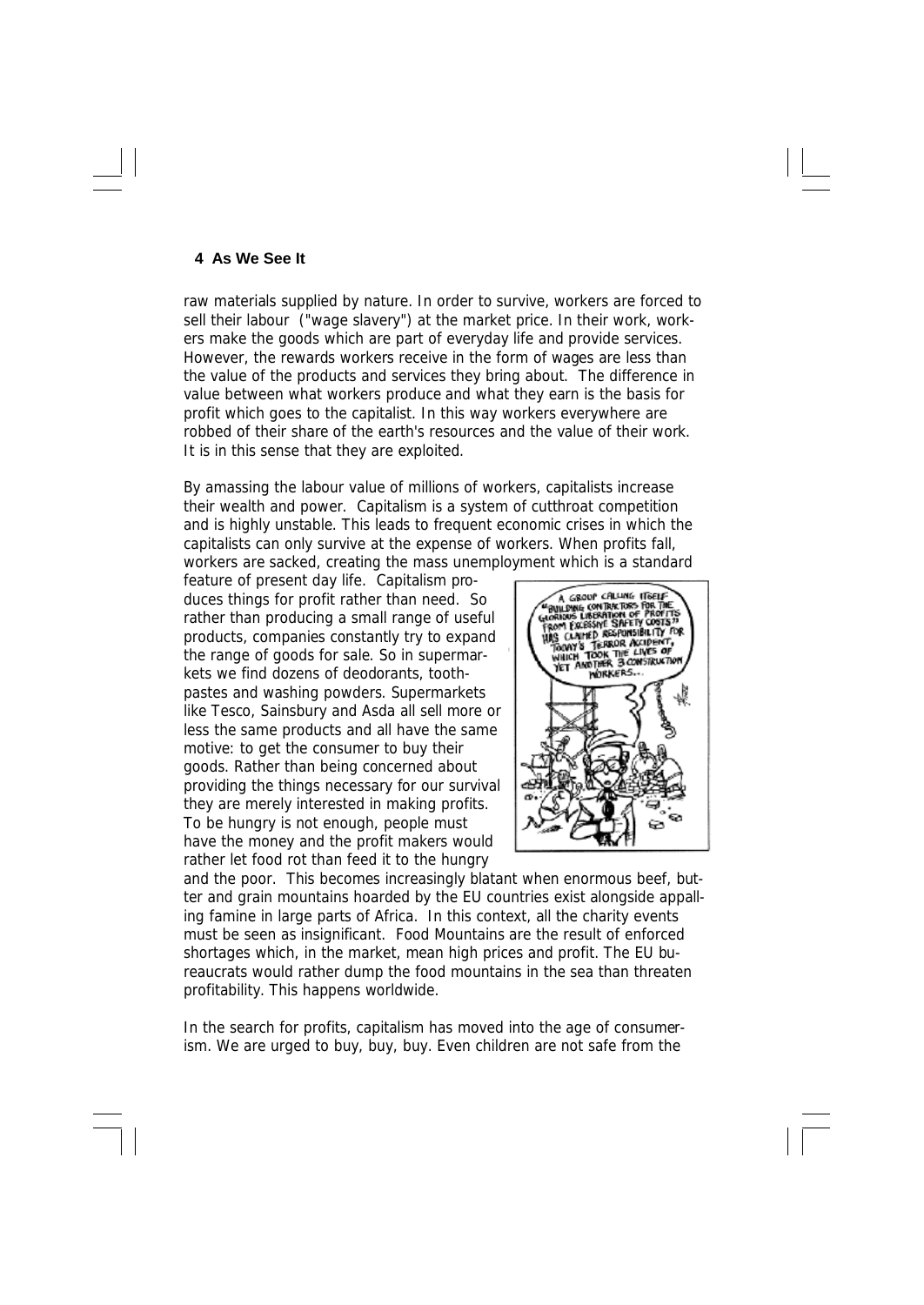raw materials supplied by nature. In order to survive, workers are forced to sell their labour ("wage slavery") at the market price. In their work, workers make the goods which are part of everyday life and provide services. However, the rewards workers receive in the form of wages are less than the value of the products and services they bring about. The difference in value between what workers produce and what they earn is the basis for profit which goes to the capitalist. In this way workers everywhere are robbed of their share of the earth's resources and the value of their work. It is in this sense that they are exploited.

By amassing the labour value of millions of workers, capitalists increase their wealth and power. Capitalism is a system of cutthroat competition and is highly unstable. This leads to frequent economic crises in which the capitalists can only survive at the expense of workers. When profits fall, workers are sacked, creating the mass unemployment which is a standard

feature of present day life. Capitalism produces things for profit rather than need. So rather than producing a small range of useful products, companies constantly try to expand the range of goods for sale. So in supermarkets we find dozens of deodorants, toothpastes and washing powders. Supermarkets like Tesco, Sainsbury and Asda all sell more or less the same products and all have the same motive: to get the consumer to buy their goods. Rather than being concerned about providing the things necessary for our survival they are merely interested in making profits. To be hungry is not enough, people must have the money and the profit makers would rather let food rot than feed it to the hungry



and the poor. This becomes increasingly blatant when enormous beef, butter and grain mountains hoarded by the EU countries exist alongside appalling famine in large parts of Africa. In this context, all the charity events must be seen as insignificant. Food Mountains are the result of enforced shortages which, in the market, mean high prices and profit. The EU bureaucrats would rather dump the food mountains in the sea than threaten profitability. This happens worldwide.

In the search for profits, capitalism has moved into the age of consumerism. We are urged to buy, buy, buy. Even children are not safe from the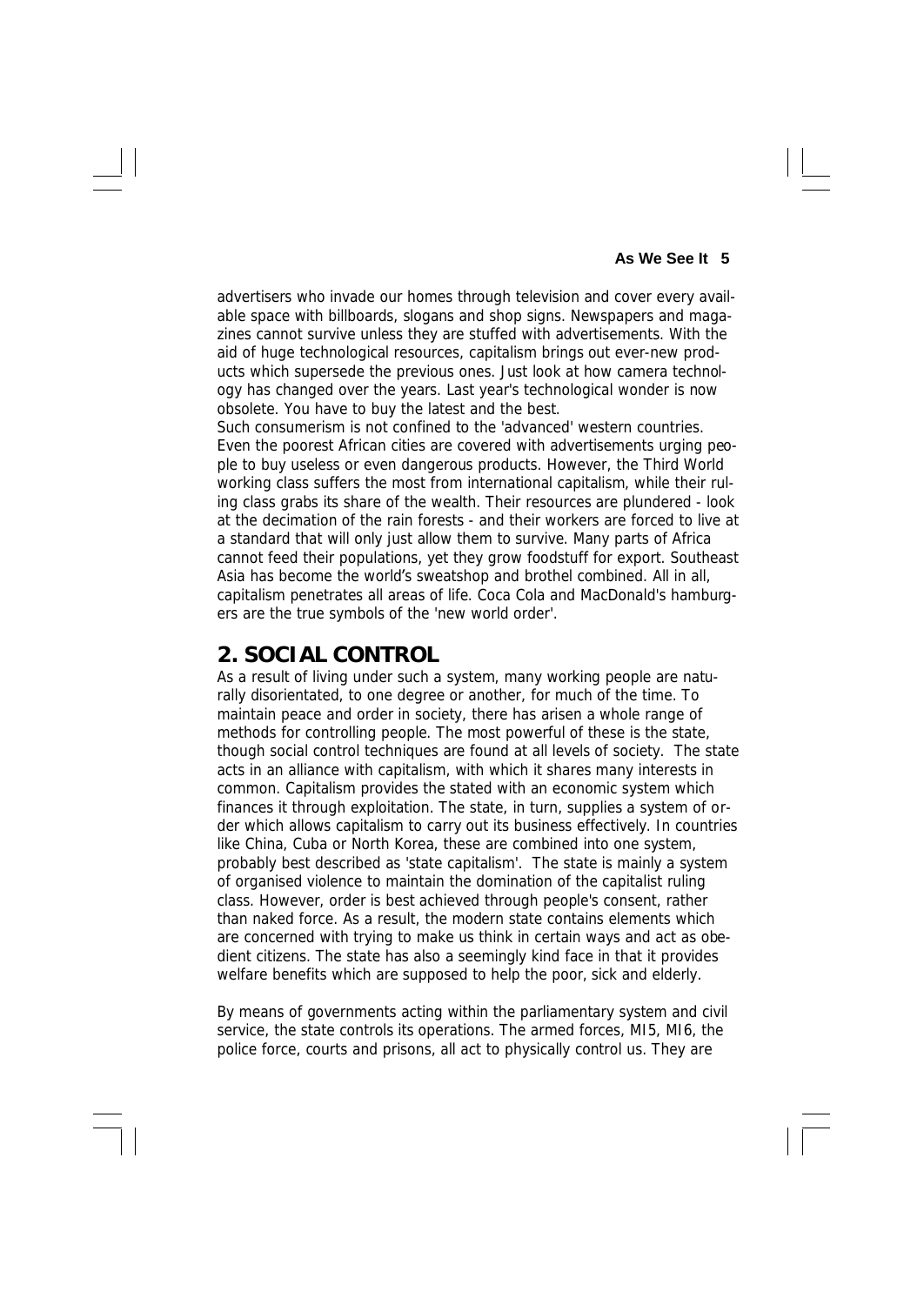advertisers who invade our homes through television and cover every available space with billboards, slogans and shop signs. Newspapers and magazines cannot survive unless they are stuffed with advertisements. With the aid of huge technological resources, capitalism brings out ever-new products which supersede the previous ones. Just look at how camera technology has changed over the years. Last year's technological wonder is now obsolete. You have to buy the latest and the best.

Such consumerism is not confined to the 'advanced' western countries. Even the poorest African cities are covered with advertisements urging people to buy useless or even dangerous products. However, the Third World working class suffers the most from international capitalism, while their ruling class grabs its share of the wealth. Their resources are plundered - look at the decimation of the rain forests - and their workers are forced to live at a standard that will only just allow them to survive. Many parts of Africa cannot feed their populations, yet they grow foodstuff for export. Southeast Asia has become the world's sweatshop and brothel combined. All in all, capitalism penetrates all areas of life. Coca Cola and MacDonald's hamburgers are the true symbols of the 'new world order'.

## **2. SOCIAL CONTROL**

As a result of living under such a system, many working people are naturally disorientated, to one degree or another, for much of the time. To maintain peace and order in society, there has arisen a whole range of methods for controlling people. The most powerful of these is the state, though social control techniques are found at all levels of society. The state acts in an alliance with capitalism, with which it shares many interests in common. Capitalism provides the stated with an economic system which finances it through exploitation. The state, in turn, supplies a system of order which allows capitalism to carry out its business effectively. In countries like China, Cuba or North Korea, these are combined into one system, probably best described as 'state capitalism'. The state is mainly a system of organised violence to maintain the domination of the capitalist ruling class. However, order is best achieved through people's consent, rather than naked force. As a result, the modern state contains elements which are concerned with trying to make us think in certain ways and act as obedient citizens. The state has also a seemingly kind face in that it provides welfare benefits which are supposed to help the poor, sick and elderly.

By means of governments acting within the parliamentary system and civil service, the state controls its operations. The armed forces, MI5, MI6, the police force, courts and prisons, all act to physically control us. They are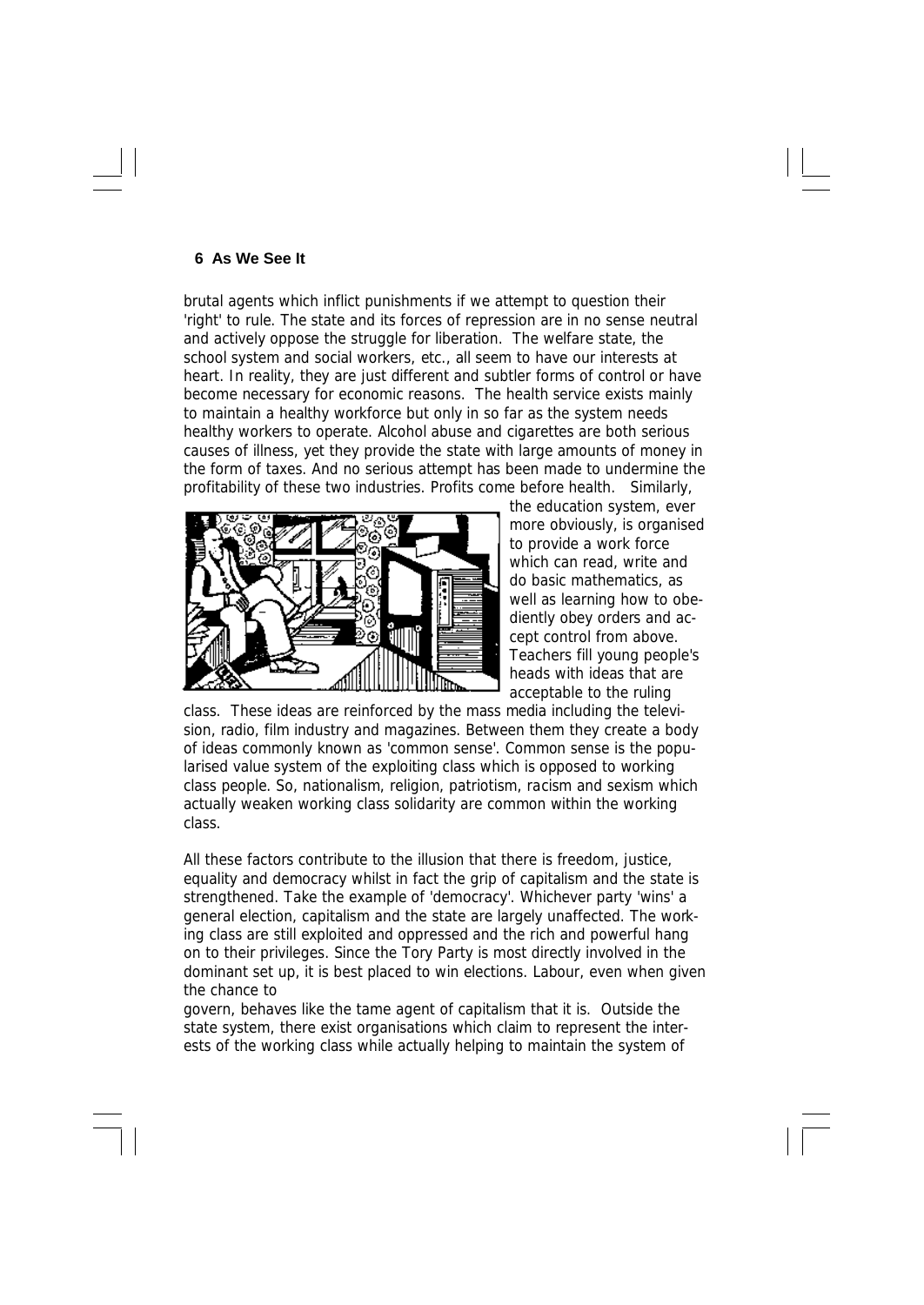brutal agents which inflict punishments if we attempt to question their 'right' to rule. The state and its forces of repression are in no sense neutral and actively oppose the struggle for liberation. The welfare state, the school system and social workers, etc., all seem to have our interests at heart. In reality, they are just different and subtler forms of control or have become necessary for economic reasons. The health service exists mainly to maintain a healthy workforce but only in so far as the system needs healthy workers to operate. Alcohol abuse and cigarettes are both serious causes of illness, yet they provide the state with large amounts of money in the form of taxes. And no serious attempt has been made to undermine the profitability of these two industries. Profits come before health. Similarly,



the education system, ever more obviously, is organised to provide a work force which can read, write and do basic mathematics, as well as learning how to obediently obey orders and accept control from above. Teachers fill young people's heads with ideas that are acceptable to the ruling

class. These ideas are reinforced by the mass media including the television, radio, film industry and magazines. Between them they create a body of ideas commonly known as 'common sense'. Common sense is the popularised value system of the exploiting class which is opposed to working class people. So, nationalism, religion, patriotism, racism and sexism which actually weaken working class solidarity are common within the working class.

All these factors contribute to the illusion that there is freedom, justice, equality and democracy whilst in fact the grip of capitalism and the state is strengthened. Take the example of 'democracy'. Whichever party 'wins' a general election, capitalism and the state are largely unaffected. The working class are still exploited and oppressed and the rich and powerful hang on to their privileges. Since the Tory Party is most directly involved in the dominant set up, it is best placed to win elections. Labour, even when given the chance to

govern, behaves like the tame agent of capitalism that it is. Outside the state system, there exist organisations which claim to represent the interests of the working class while actually helping to maintain the system of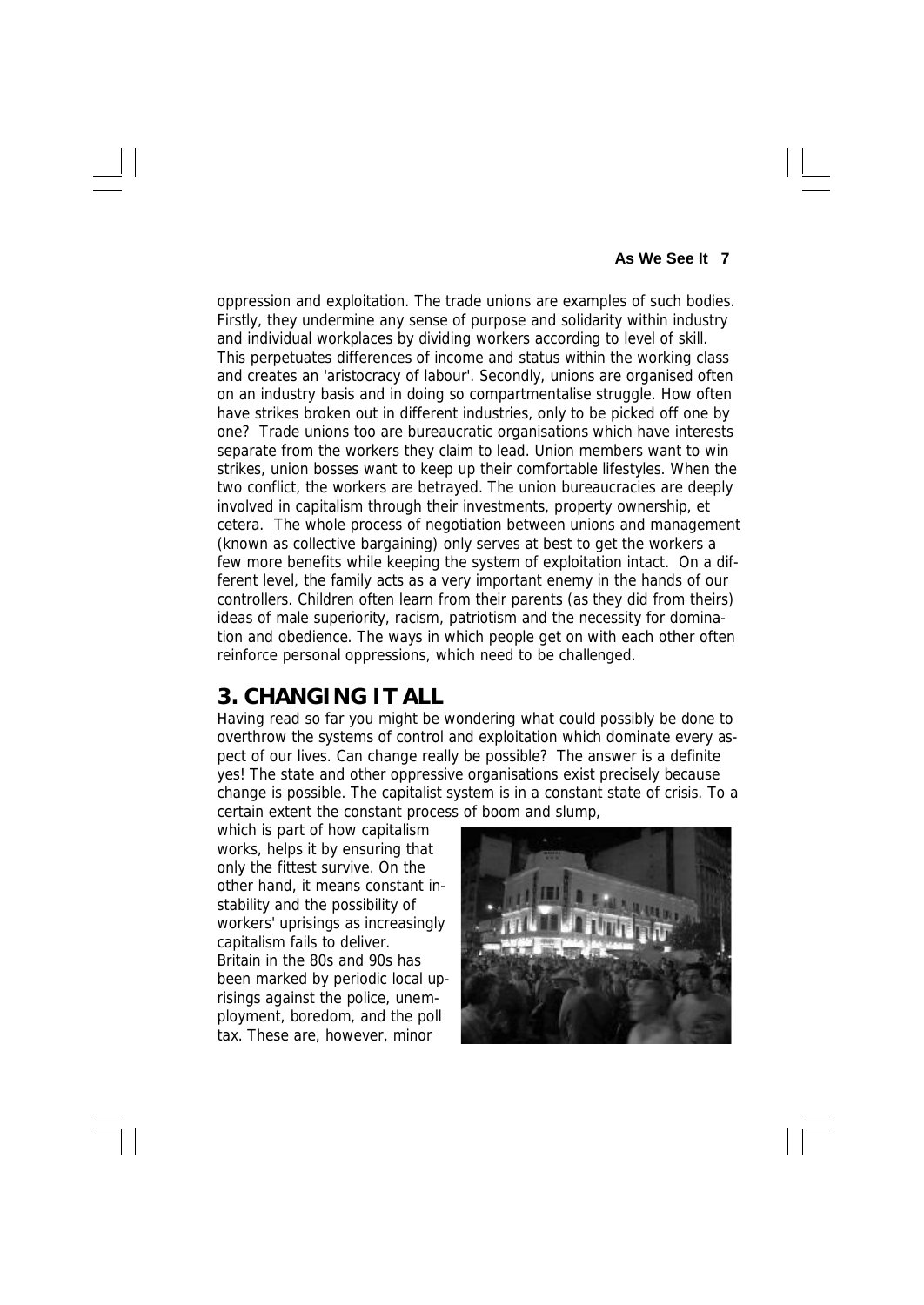oppression and exploitation. The trade unions are examples of such bodies. Firstly, they undermine any sense of purpose and solidarity within industry and individual workplaces by dividing workers according to level of skill. This perpetuates differences of income and status within the working class and creates an 'aristocracy of labour'. Secondly, unions are organised often on an industry basis and in doing so compartmentalise struggle. How often have strikes broken out in different industries, only to be picked off one by one? Trade unions too are bureaucratic organisations which have interests separate from the workers they claim to lead. Union members want to win strikes, union bosses want to keep up their comfortable lifestyles. When the two conflict, the workers are betrayed. The union bureaucracies are deeply involved in capitalism through their investments, property ownership, et cetera. The whole process of negotiation between unions and management (known as collective bargaining) only serves at best to get the workers a few more benefits while keeping the system of exploitation intact. On a different level, the family acts as a very important enemy in the hands of our controllers. Children often learn from their parents (as they did from theirs) ideas of male superiority, racism, patriotism and the necessity for domination and obedience. The ways in which people get on with each other often reinforce personal oppressions, which need to be challenged.

# **3. CHANGING IT ALL**

Having read so far you might be wondering what could possibly be done to overthrow the systems of control and exploitation which dominate every aspect of our lives. Can change really be possible? The answer is a definite yes! The state and other oppressive organisations exist precisely because change is possible. The capitalist system is in a constant state of crisis. To a certain extent the constant process of boom and slump,

which is part of how capitalism works, helps it by ensuring that only the fittest survive. On the other hand, it means constant instability and the possibility of workers' uprisings as increasingly capitalism fails to deliver. Britain in the 80s and 90s has been marked by periodic local uprisings against the police, unemployment, boredom, and the poll tax. These are, however, minor

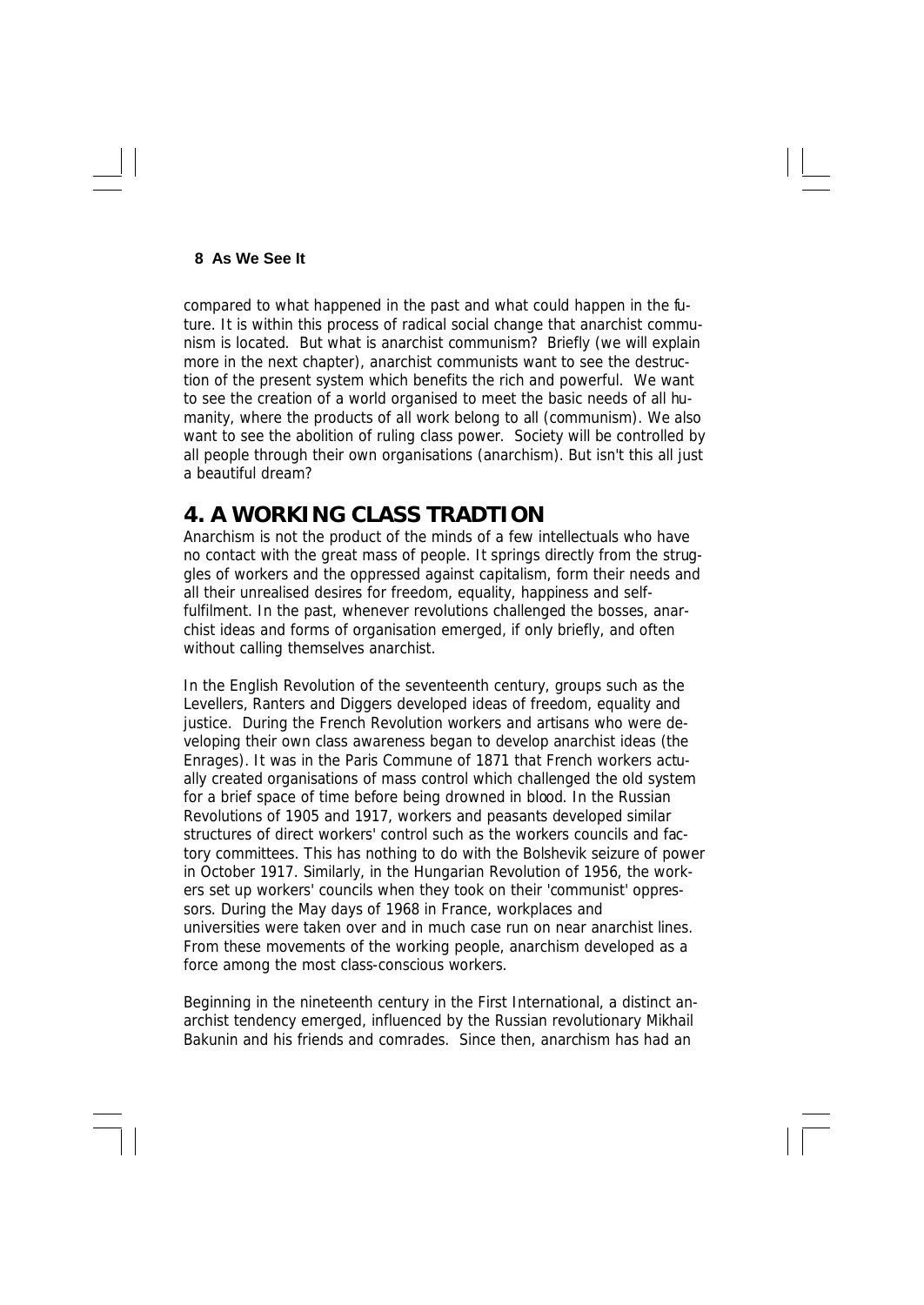compared to what happened in the past and what could happen in the future. It is within this process of radical social change that anarchist communism is located. But what is anarchist communism? Briefly (we will explain more in the next chapter), anarchist communists want to see the destruction of the present system which benefits the rich and powerful. We want to see the creation of a world organised to meet the basic needs of all humanity, where the products of all work belong to all (communism). We also want to see the abolition of ruling class power. Society will be controlled by all people through their own organisations (anarchism). But isn't this all just a beautiful dream?

# **4. A WORKING CLASS TRADTION**

Anarchism is not the product of the minds of a few intellectuals who have no contact with the great mass of people. It springs directly from the struggles of workers and the oppressed against capitalism, form their needs and all their unrealised desires for freedom, equality, happiness and selffulfilment. In the past, whenever revolutions challenged the bosses, anarchist ideas and forms of organisation emerged, if only briefly, and often without calling themselves anarchist.

In the English Revolution of the seventeenth century, groups such as the Levellers, Ranters and Diggers developed ideas of freedom, equality and justice. During the French Revolution workers and artisans who were developing their own class awareness began to develop anarchist ideas (the Enrages). It was in the Paris Commune of 1871 that French workers actually created organisations of mass control which challenged the old system for a brief space of time before being drowned in blood. In the Russian Revolutions of 1905 and 1917, workers and peasants developed similar structures of direct workers' control such as the workers councils and factory committees. This has nothing to do with the Bolshevik seizure of power in October 1917. Similarly, in the Hungarian Revolution of 1956, the workers set up workers' councils when they took on their 'communist' oppressors. During the May days of 1968 in France, workplaces and universities were taken over and in much case run on near anarchist lines. From these movements of the working people, anarchism developed as a force among the most class-conscious workers.

Beginning in the nineteenth century in the First International, a distinct anarchist tendency emerged, influenced by the Russian revolutionary Mikhail Bakunin and his friends and comrades. Since then, anarchism has had an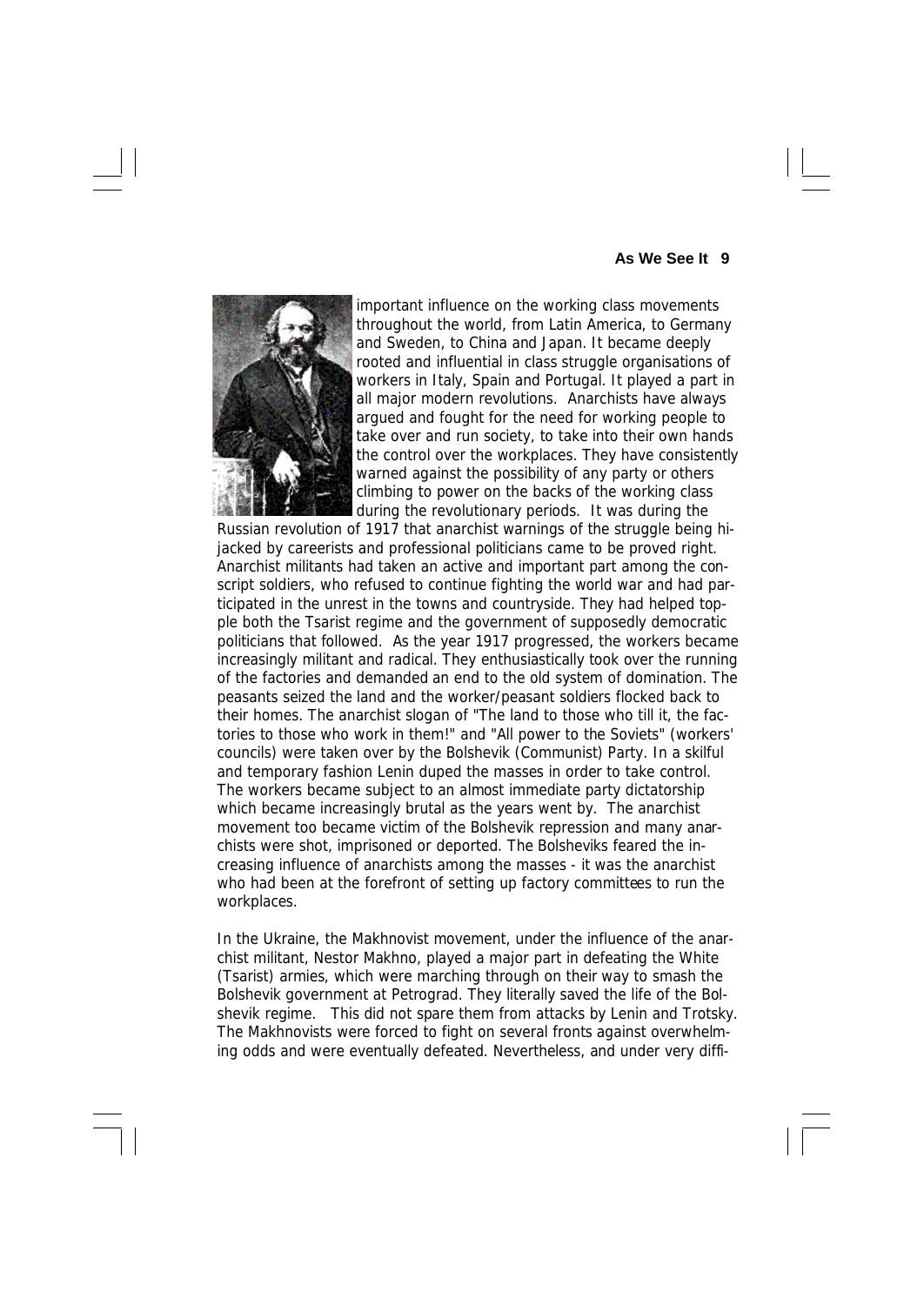

important influence on the working class movements throughout the world, from Latin America, to Germany and Sweden, to China and Japan. It became deeply rooted and influential in class struggle organisations of workers in Italy, Spain and Portugal. It played a part in all major modern revolutions. Anarchists have always argued and fought for the need for working people to take over and run society, to take into their own hands the control over the workplaces. They have consistently warned against the possibility of any party or others climbing to power on the backs of the working class during the revolutionary periods. It was during the

Russian revolution of 1917 that anarchist warnings of the struggle being hijacked by careerists and professional politicians came to be proved right. Anarchist militants had taken an active and important part among the conscript soldiers, who refused to continue fighting the world war and had participated in the unrest in the towns and countryside. They had helped topple both the Tsarist regime and the government of supposedly democratic politicians that followed. As the year 1917 progressed, the workers became increasingly militant and radical. They enthusiastically took over the running of the factories and demanded an end to the old system of domination. The peasants seized the land and the worker/peasant soldiers flocked back to their homes. The anarchist slogan of "The land to those who till it, the factories to those who work in them!" and "All power to the Soviets" (workers' councils) were taken over by the Bolshevik (Communist) Party. In a skilful and temporary fashion Lenin duped the masses in order to take control. The workers became subject to an almost immediate party dictatorship which became increasingly brutal as the years went by. The anarchist movement too became victim of the Bolshevik repression and many anarchists were shot, imprisoned or deported. The Bolsheviks feared the increasing influence of anarchists among the masses - it was the anarchist who had been at the forefront of setting up factory committees to run the workplaces.

In the Ukraine, the Makhnovist movement, under the influence of the anarchist militant, Nestor Makhno, played a major part in defeating the White (Tsarist) armies, which were marching through on their way to smash the Bolshevik government at Petrograd. They literally saved the life of the Bolshevik regime. This did not spare them from attacks by Lenin and Trotsky. The Makhnovists were forced to fight on several fronts against overwhelming odds and were eventually defeated. Nevertheless, and under very diffi-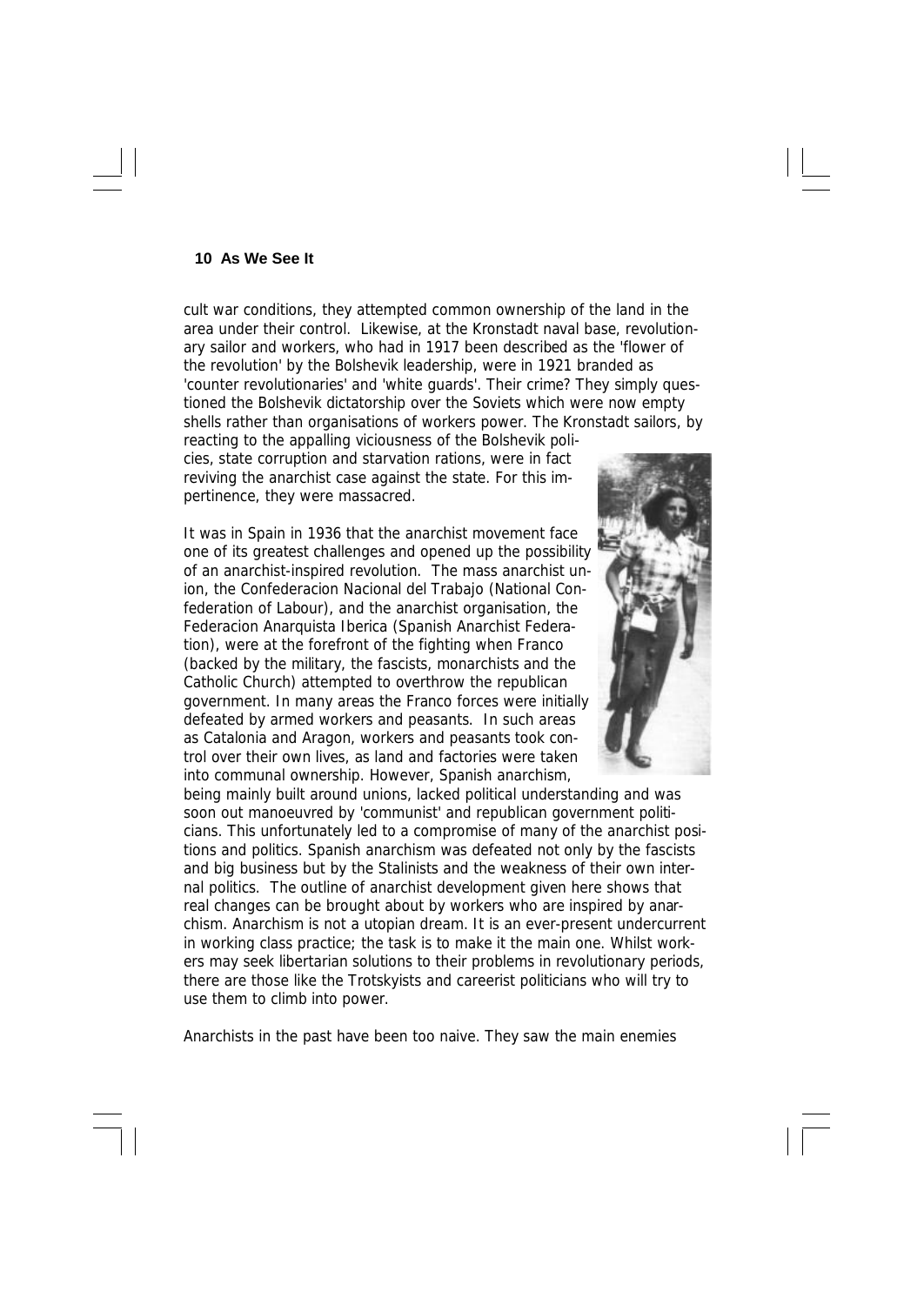cult war conditions, they attempted common ownership of the land in the area under their control. Likewise, at the Kronstadt naval base, revolutionary sailor and workers, who had in 1917 been described as the 'flower of the revolution' by the Bolshevik leadership, were in 1921 branded as 'counter revolutionaries' and 'white guards'. Their crime? They simply questioned the Bolshevik dictatorship over the Soviets which were now empty shells rather than organisations of workers power. The Kronstadt sailors, by reacting to the appalling viciousness of the Bolshevik policies, state corruption and starvation rations, were in fact

It was in Spain in 1936 that the anarchist movement face one of its greatest challenges and opened up the possibility of an anarchist-inspired revolution. The mass anarchist union, the Confederacion Nacional del Trabajo (National Confederation of Labour), and the anarchist organisation, the Federacion Anarquista Iberica (Spanish Anarchist Federation), were at the forefront of the fighting when Franco (backed by the military, the fascists, monarchists and the Catholic Church) attempted to overthrow the republican government. In many areas the Franco forces were initially defeated by armed workers and peasants. In such areas as Catalonia and Aragon, workers and peasants took control over their own lives, as land and factories were taken into communal ownership. However, Spanish anarchism,

reviving the anarchist case against the state. For this im-

pertinence, they were massacred.



being mainly built around unions, lacked political understanding and was soon out manoeuvred by 'communist' and republican government politicians. This unfortunately led to a compromise of many of the anarchist positions and politics. Spanish anarchism was defeated not only by the fascists and big business but by the Stalinists and the weakness of their own internal politics. The outline of anarchist development given here shows that real changes can be brought about by workers who are inspired by anarchism. Anarchism is not a utopian dream. It is an ever-present undercurrent in working class practice; the task is to make it the main one. Whilst workers may seek libertarian solutions to their problems in revolutionary periods, there are those like the Trotskyists and careerist politicians who will try to use them to climb into power.

Anarchists in the past have been too naive. They saw the main enemies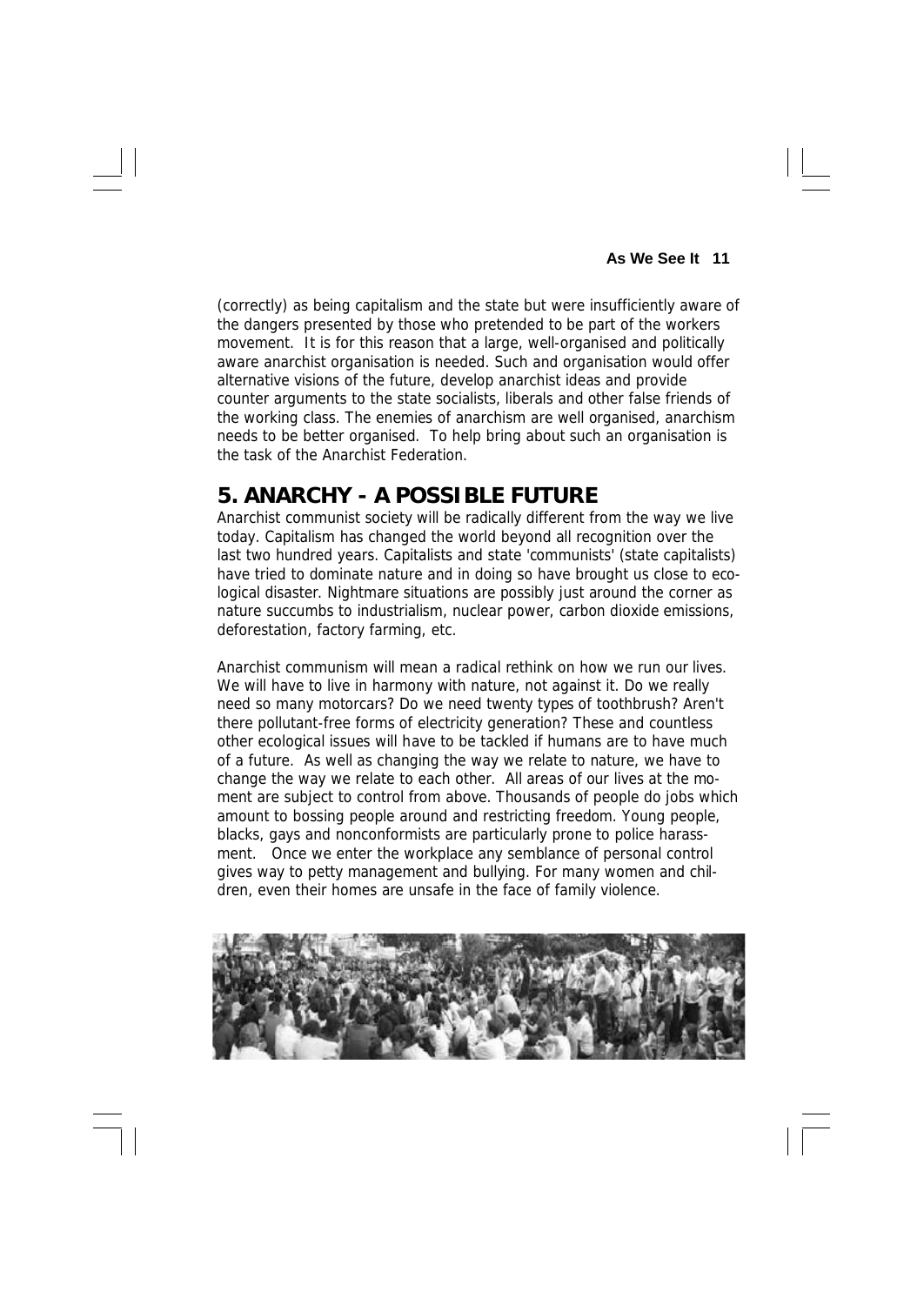(correctly) as being capitalism and the state but were insufficiently aware of the dangers presented by those who pretended to be part of the workers movement. It is for this reason that a large, well-organised and politically aware anarchist organisation is needed. Such and organisation would offer alternative visions of the future, develop anarchist ideas and provide counter arguments to the state socialists, liberals and other false friends of the working class. The enemies of anarchism are well organised, anarchism needs to be better organised. To help bring about such an organisation is the task of the Anarchist Federation.

# **5. ANARCHY - A POSSIBLE FUTURE**

Anarchist communist society will be radically different from the way we live today. Capitalism has changed the world beyond all recognition over the last two hundred years. Capitalists and state 'communists' (state capitalists) have tried to dominate nature and in doing so have brought us close to ecological disaster. Nightmare situations are possibly just around the corner as nature succumbs to industrialism, nuclear power, carbon dioxide emissions, deforestation, factory farming, etc.

Anarchist communism will mean a radical rethink on how we run our lives. We will have to live in harmony with nature, not against it. Do we really need so many motorcars? Do we need twenty types of toothbrush? Aren't there pollutant-free forms of electricity generation? These and countless other ecological issues will have to be tackled if humans are to have much of a future. As well as changing the way we relate to nature, we have to change the way we relate to each other. All areas of our lives at the moment are subject to control from above. Thousands of people do jobs which amount to bossing people around and restricting freedom. Young people, blacks, gays and nonconformists are particularly prone to police harassment. Once we enter the workplace any semblance of personal control gives way to petty management and bullying. For many women and children, even their homes are unsafe in the face of family violence.

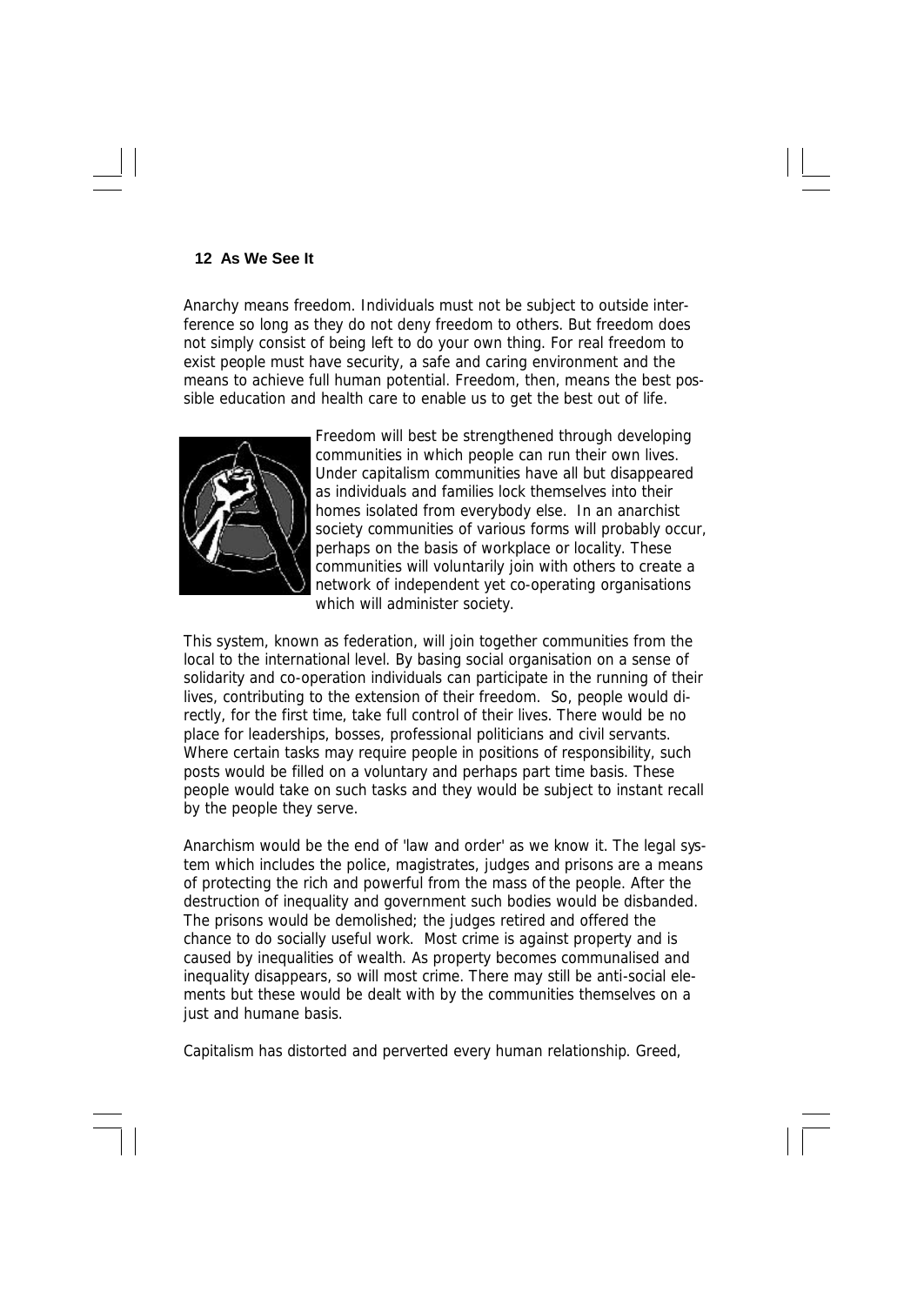Anarchy means freedom. Individuals must not be subject to outside interference so long as they do not deny freedom to others. But freedom does not simply consist of being left to do your own thing. For real freedom to exist people must have security, a safe and caring environment and the means to achieve full human potential. Freedom, then, means the best possible education and health care to enable us to get the best out of life.



Freedom will best be strengthened through developing communities in which people can run their own lives. Under capitalism communities have all but disappeared as individuals and families lock themselves into their homes isolated from everybody else. In an anarchist society communities of various forms will probably occur, perhaps on the basis of workplace or locality. These communities will voluntarily join with others to create a network of independent yet co-operating organisations which will administer society.

This system, known as federation, will join together communities from the local to the international level. By basing social organisation on a sense of solidarity and co-operation individuals can participate in the running of their lives, contributing to the extension of their freedom. So, people would directly, for the first time, take full control of their lives. There would be no place for leaderships, bosses, professional politicians and civil servants. Where certain tasks may require people in positions of responsibility, such posts would be filled on a voluntary and perhaps part time basis. These people would take on such tasks and they would be subject to instant recall by the people they serve.

Anarchism would be the end of 'law and order' as we know it. The legal system which includes the police, magistrates, judges and prisons are a means of protecting the rich and powerful from the mass of the people. After the destruction of inequality and government such bodies would be disbanded. The prisons would be demolished; the judges retired and offered the chance to do socially useful work. Most crime is against property and is caused by inequalities of wealth. As property becomes communalised and inequality disappears, so will most crime. There may still be anti-social elements but these would be dealt with by the communities themselves on a just and humane basis.

Capitalism has distorted and perverted every human relationship. Greed,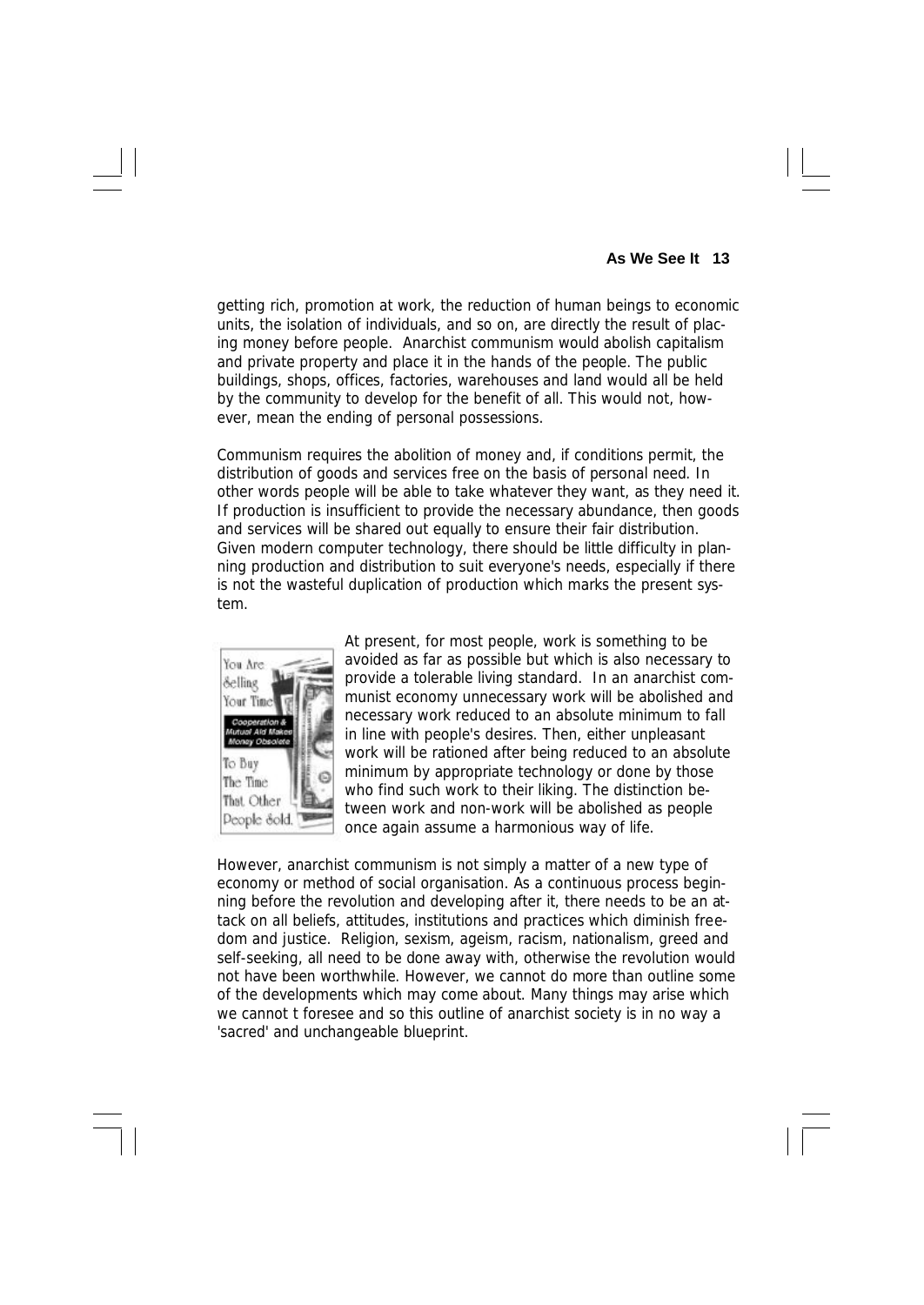getting rich, promotion at work, the reduction of human beings to economic units, the isolation of individuals, and so on, are directly the result of placing money before people. Anarchist communism would abolish capitalism and private property and place it in the hands of the people. The public buildings, shops, offices, factories, warehouses and land would all be held by the community to develop for the benefit of all. This would not, however, mean the ending of personal possessions.

Communism requires the abolition of money and, if conditions permit, the distribution of goods and services free on the basis of personal need. In other words people will be able to take whatever they want, as they need it. If production is insufficient to provide the necessary abundance, then goods and services will be shared out equally to ensure their fair distribution. Given modern computer technology, there should be little difficulty in planning production and distribution to suit everyone's needs, especially if there is not the wasteful duplication of production which marks the present system.



At present, for most people, work is something to be avoided as far as possible but which is also necessary to provide a tolerable living standard. In an anarchist communist economy unnecessary work will be abolished and necessary work reduced to an absolute minimum to fall in line with people's desires. Then, either unpleasant work will be rationed after being reduced to an absolute minimum by appropriate technology or done by those who find such work to their liking. The distinction between work and non-work will be abolished as people once again assume a harmonious way of life.

However, anarchist communism is not simply a matter of a new type of economy or method of social organisation. As a continuous process beginning before the revolution and developing after it, there needs to be an attack on all beliefs, attitudes, institutions and practices which diminish freedom and justice. Religion, sexism, ageism, racism, nationalism, greed and self-seeking, all need to be done away with, otherwise the revolution would not have been worthwhile. However, we cannot do more than outline some of the developments which may come about. Many things may arise which we cannot t foresee and so this outline of anarchist society is in no way a 'sacred' and unchangeable blueprint.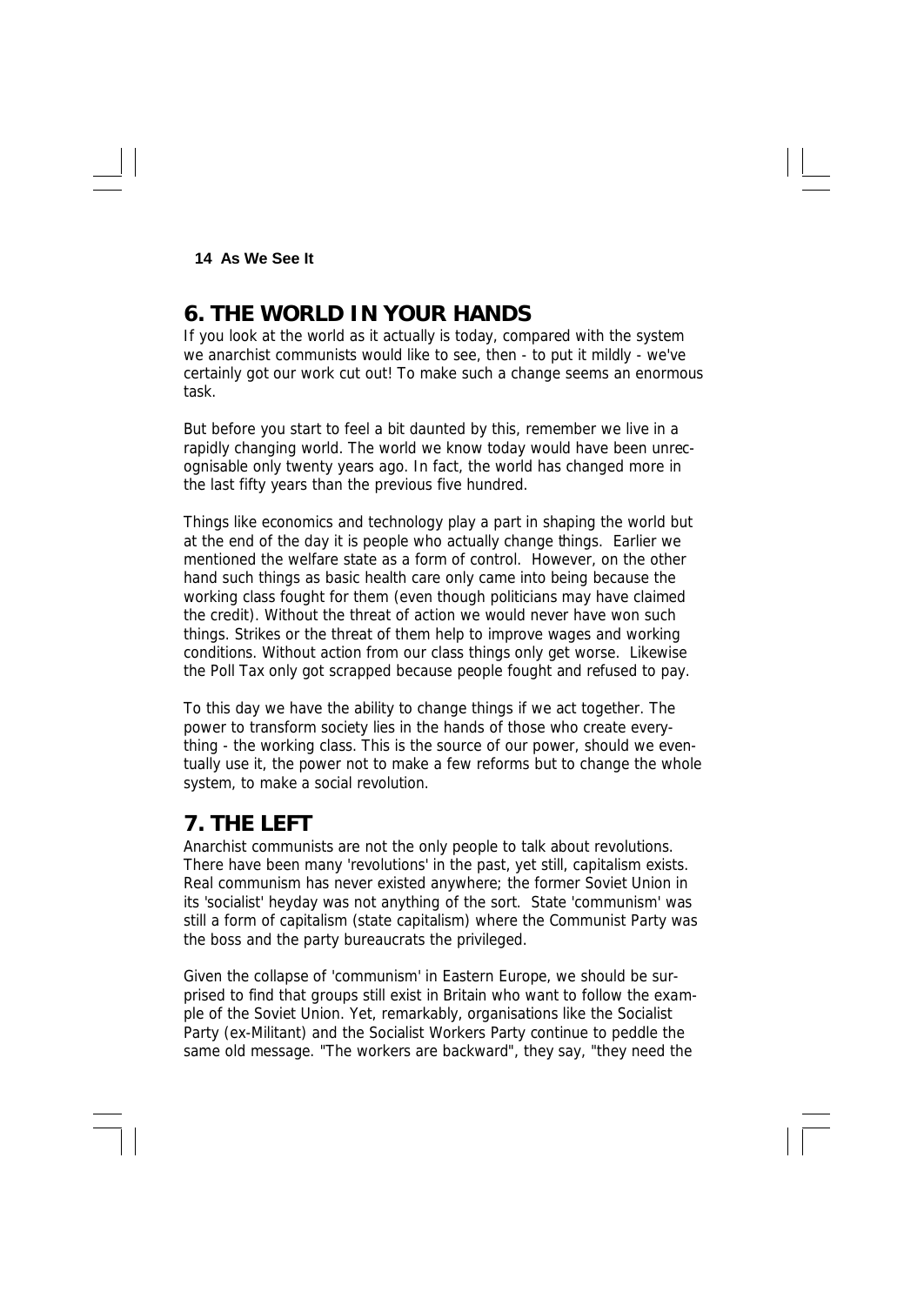# **6. THE WORLD IN YOUR HANDS**

If you look at the world as it actually is today, compared with the system we anarchist communists would like to see, then - to put it mildly - we've certainly got our work cut out! To make such a change seems an enormous task.

But before you start to feel a bit daunted by this, remember we live in a rapidly changing world. The world we know today would have been unrecognisable only twenty years ago. In fact, the world has changed more in the last fifty years than the previous five hundred.

Things like economics and technology play a part in shaping the world but at the end of the day it is people who actually change things. Earlier we mentioned the welfare state as a form of control. However, on the other hand such things as basic health care only came into being because the working class fought for them (even though politicians may have claimed the credit). Without the threat of action we would never have won such things. Strikes or the threat of them help to improve wages and working conditions. Without action from our class things only get worse. Likewise the Poll Tax only got scrapped because people fought and refused to pay.

To this day we have the ability to change things if we act together. The power to transform society lies in the hands of those who create everything - the working class. This is the source of our power, should we eventually use it, the power not to make a few reforms but to change the whole system, to make a social revolution.

# **7. THE LEFT**

Anarchist communists are not the only people to talk about revolutions. There have been many 'revolutions' in the past, yet still, capitalism exists. Real communism has never existed anywhere; the former Soviet Union in its 'socialist' heyday was not anything of the sort. State 'communism' was still a form of capitalism (state capitalism) where the Communist Party was the boss and the party bureaucrats the privileged.

Given the collapse of 'communism' in Eastern Europe, we should be surprised to find that groups still exist in Britain who want to follow the example of the Soviet Union. Yet, remarkably, organisations like the Socialist Party (ex-Militant) and the Socialist Workers Party continue to peddle the same old message. "The workers are backward", they say, "they need the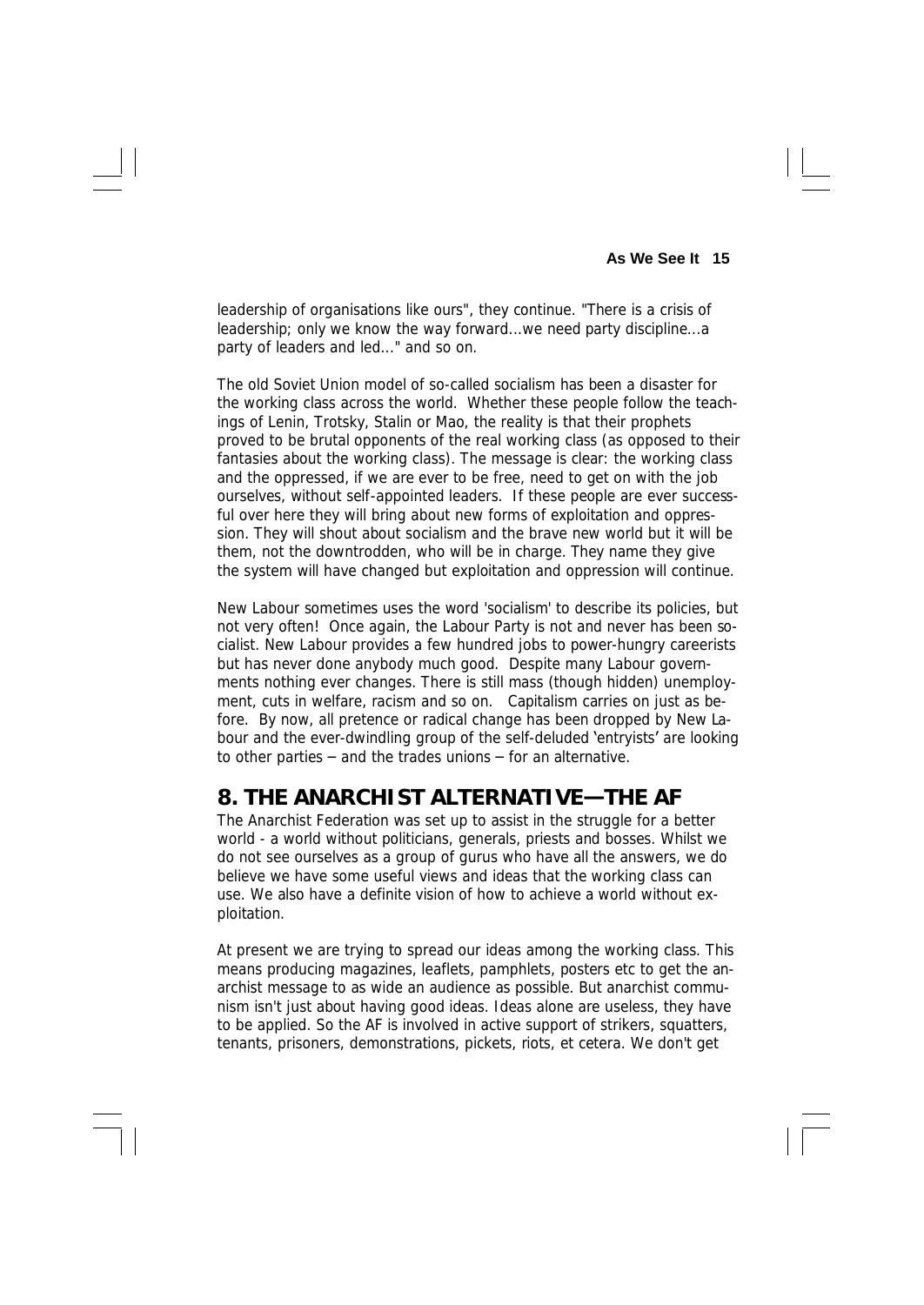leadership of organisations like ours", they continue. "There is a crisis of leadership; only we know the way forward...we need party discipline...a party of leaders and led..." and so on.

The old Soviet Union model of so-called socialism has been a disaster for the working class across the world. Whether these people follow the teachings of Lenin, Trotsky, Stalin or Mao, the reality is that their prophets proved to be brutal opponents of the real working class (as opposed to their fantasies about the working class). The message is clear: the working class and the oppressed, if we are ever to be free, need to get on with the job ourselves, without self-appointed leaders. If these people are ever successful over here they will bring about new forms of exploitation and oppression. They will shout about socialism and the brave new world but it will be them, not the downtrodden, who will be in charge. They name they give the system will have changed but exploitation and oppression will continue.

New Labour sometimes uses the word 'socialism' to describe its policies, but not very often! Once again, the Labour Party is not and never has been socialist. New Labour provides a few hundred jobs to power-hungry careerists but has never done anybody much good. Despite many Labour governments nothing ever changes. There is still mass (though hidden) unemployment, cuts in welfare, racism and so on. Capitalism carries on just as before. By now, all pretence or radical change has been dropped by New Labour and the ever-dwindling group of the self-deluded 'entryists' are looking to other parties – and the trades unions – for an alternative.

# **8. THE ANARCHIST ALTERNATIVE— THE AF**

The Anarchist Federation was set up to assist in the struggle for a better world - a world without politicians, generals, priests and bosses. Whilst we do not see ourselves as a group of gurus who have all the answers, we do believe we have some useful views and ideas that the working class can use. We also have a definite vision of how to achieve a world without exploitation.

At present we are trying to spread our ideas among the working class. This means producing magazines, leaflets, pamphlets, posters etc to get the anarchist message to as wide an audience as possible. But anarchist communism isn't just about having good ideas. Ideas alone are useless, they have to be applied. So the AF is involved in active support of strikers, squatters, tenants, prisoners, demonstrations, pickets, riots, et cetera. We don't get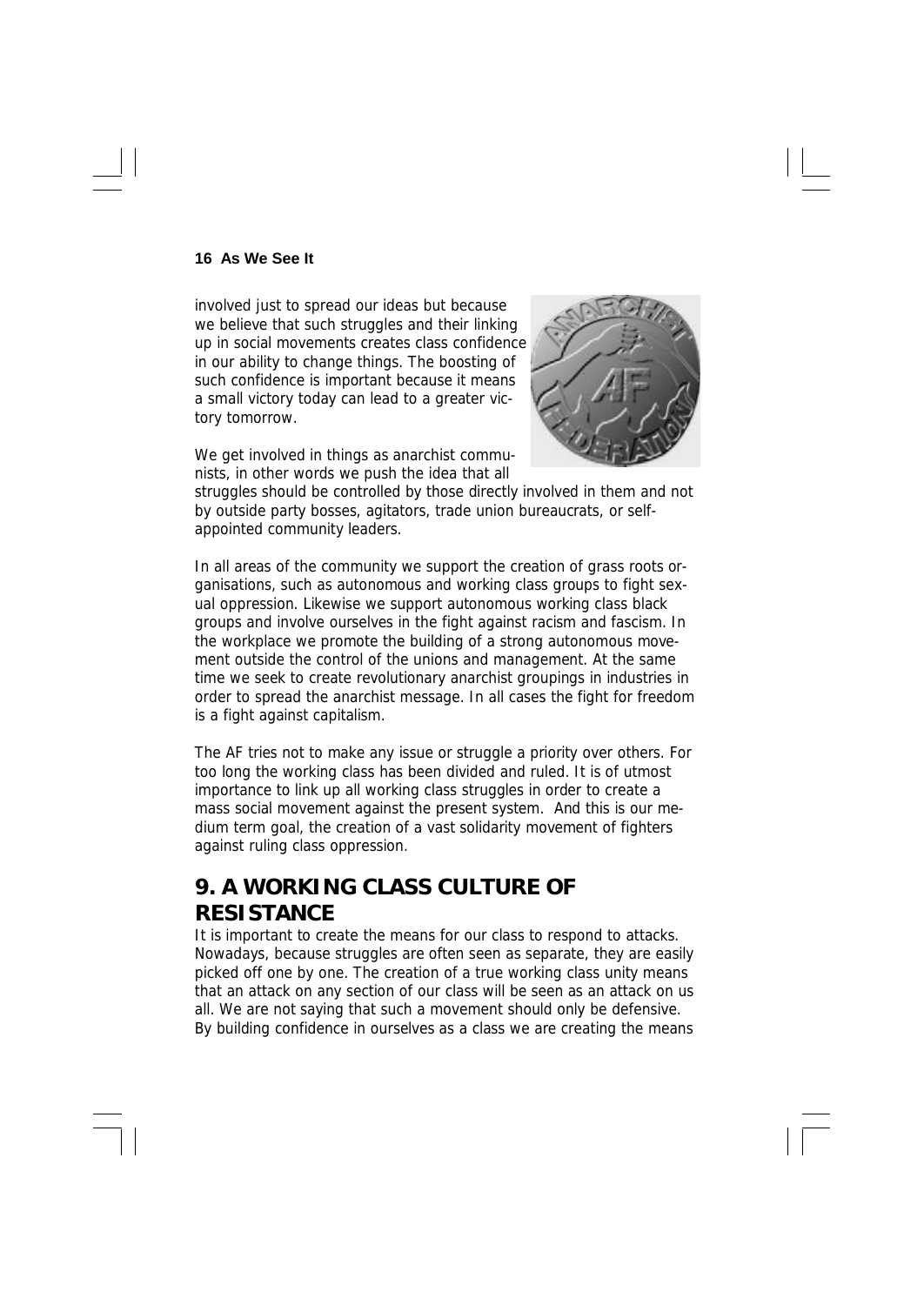involved just to spread our ideas but because we believe that such struggles and their linking up in social movements creates class confidence in our ability to change things. The boosting of such confidence is important because it means a small victory today can lead to a greater victory tomorrow.



We get involved in things as anarchist communists, in other words we push the idea that all

struggles should be controlled by those directly involved in them and not by outside party bosses, agitators, trade union bureaucrats, or selfappointed community leaders.

In all areas of the community we support the creation of grass roots organisations, such as autonomous and working class groups to fight sexual oppression. Likewise we support autonomous working class black groups and involve ourselves in the fight against racism and fascism. In the workplace we promote the building of a strong autonomous movement outside the control of the unions and management. At the same time we seek to create revolutionary anarchist groupings in industries in order to spread the anarchist message. In all cases the fight for freedom is a fight against capitalism.

The AF tries not to make any issue or struggle a priority over others. For too long the working class has been divided and ruled. It is of utmost importance to link up all working class struggles in order to create a mass social movement against the present system. And this is our medium term goal, the creation of a vast solidarity movement of fighters against ruling class oppression.

# **9. A WORKING CLASS CULTURE OF RESISTANCE**

It is important to create the means for our class to respond to attacks. Nowadays, because struggles are often seen as separate, they are easily picked off one by one. The creation of a true working class unity means that an attack on any section of our class will be seen as an attack on us all. We are not saying that such a movement should only be defensive. By building confidence in ourselves as a class we are creating the means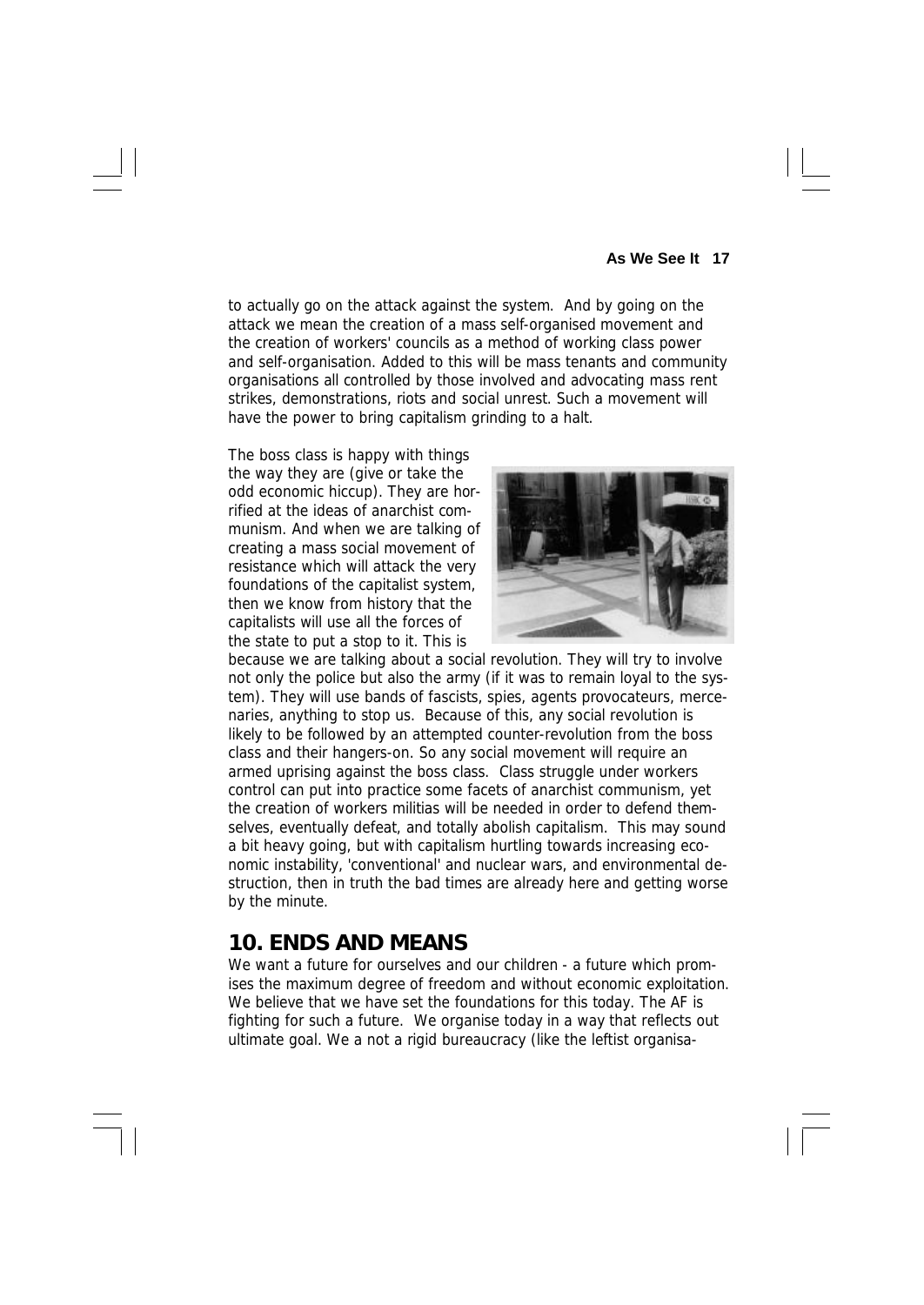to actually go on the attack against the system. And by going on the attack we mean the creation of a mass self-organised movement and the creation of workers' councils as a method of working class power and self-organisation. Added to this will be mass tenants and community organisations all controlled by those involved and advocating mass rent strikes, demonstrations, riots and social unrest. Such a movement will have the power to bring capitalism grinding to a halt.

The boss class is happy with things the way they are (give or take the odd economic hiccup). They are horrified at the ideas of anarchist communism. And when we are talking of creating a mass social movement of resistance which will attack the very foundations of the capitalist system, then we know from history that the capitalists will use all the forces of the state to put a stop to it. This is



because we are talking about a social revolution. They will try to involve not only the police but also the army (if it was to remain loyal to the system). They will use bands of fascists, spies, agents provocateurs, mercenaries, anything to stop us. Because of this, any social revolution is likely to be followed by an attempted counter-revolution from the boss class and their hangers-on. So any social movement will require an armed uprising against the boss class. Class struggle under workers control can put into practice some facets of anarchist communism, yet the creation of workers militias will be needed in order to defend themselves, eventually defeat, and totally abolish capitalism. This may sound a bit heavy going, but with capitalism hurtling towards increasing economic instability, 'conventional' and nuclear wars, and environmental destruction, then in truth the bad times are already here and getting worse by the minute.

#### **10. ENDS AND MEANS**

We want a future for ourselves and our children - a future which promises the maximum degree of freedom and without economic exploitation. We believe that we have set the foundations for this today. The AF is fighting for such a future. We organise today in a way that reflects out ultimate goal. We a not a rigid bureaucracy (like the leftist organisa-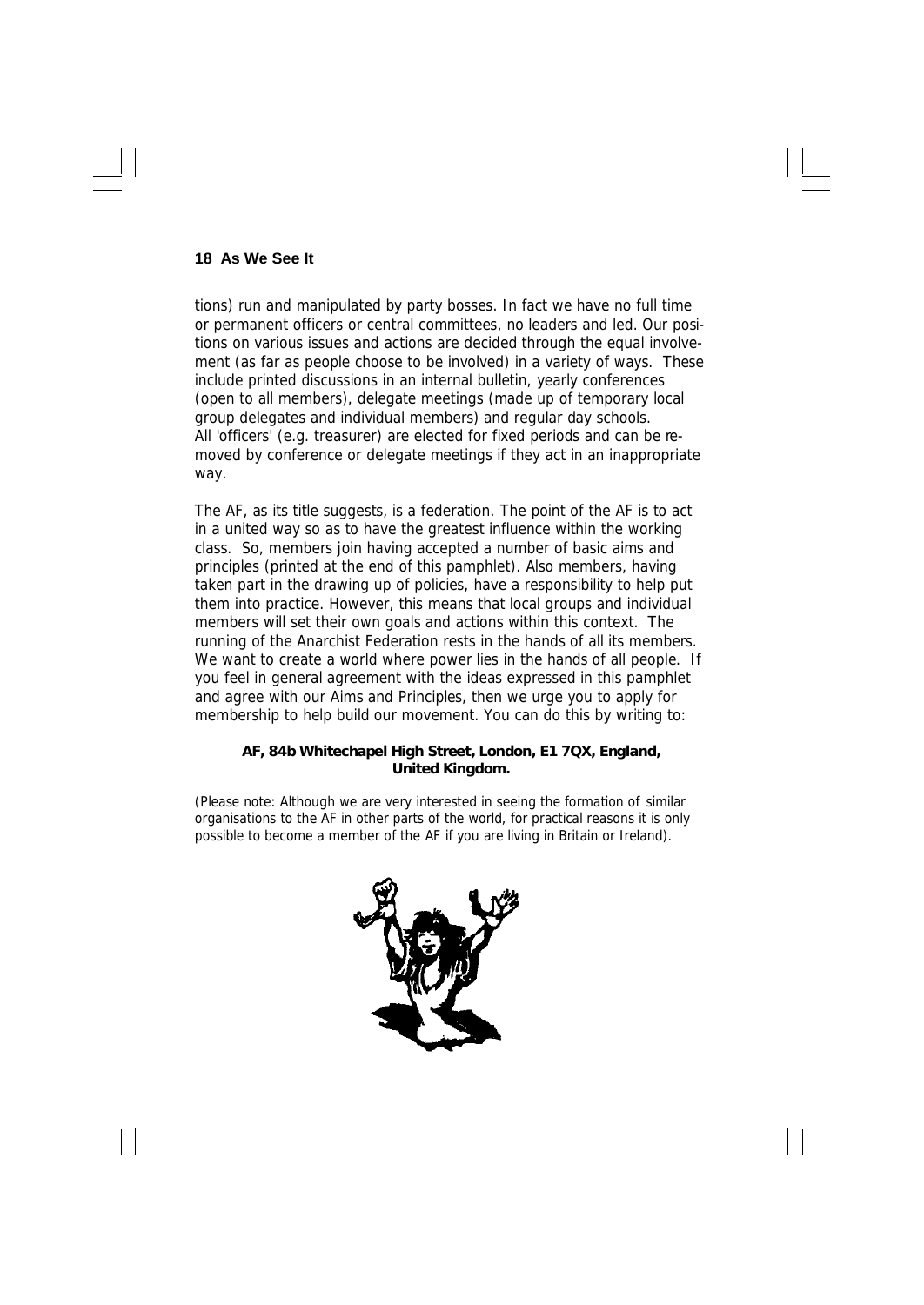tions) run and manipulated by party bosses. In fact we have no full time or permanent officers or central committees, no leaders and led. Our positions on various issues and actions are decided through the equal involvement (as far as people choose to be involved) in a variety of ways. These include printed discussions in an internal bulletin, yearly conferences (open to all members), delegate meetings (made up of temporary local group delegates and individual members) and regular day schools. All 'officers' (e.g. treasurer) are elected for fixed periods and can be removed by conference or delegate meetings if they act in an inappropriate way.

The AF, as its title suggests, is a federation. The point of the AF is to act in a united way so as to have the greatest influence within the working class. So, members join having accepted a number of basic aims and principles (printed at the end of this pamphlet). Also members, having taken part in the drawing up of policies, have a responsibility to help put them into practice. However, this means that local groups and individual members will set their own goals and actions within this context. The running of the Anarchist Federation rests in the hands of all its members. We want to create a world where power lies in the hands of all people. If you feel in general agreement with the ideas expressed in this pamphlet and agree with our Aims and Principles, then we urge you to apply for membership to help build our movement. You can do this by writing to:

#### **AF, 84b Whitechapel High Street, London, E1 7QX, England, United Kingdom.**

(Please note: Although we are very interested in seeing the formation of similar organisations to the AF in other parts of the world, for practical reasons it is only possible to become a member of the AF if you are living in Britain or Ireland).

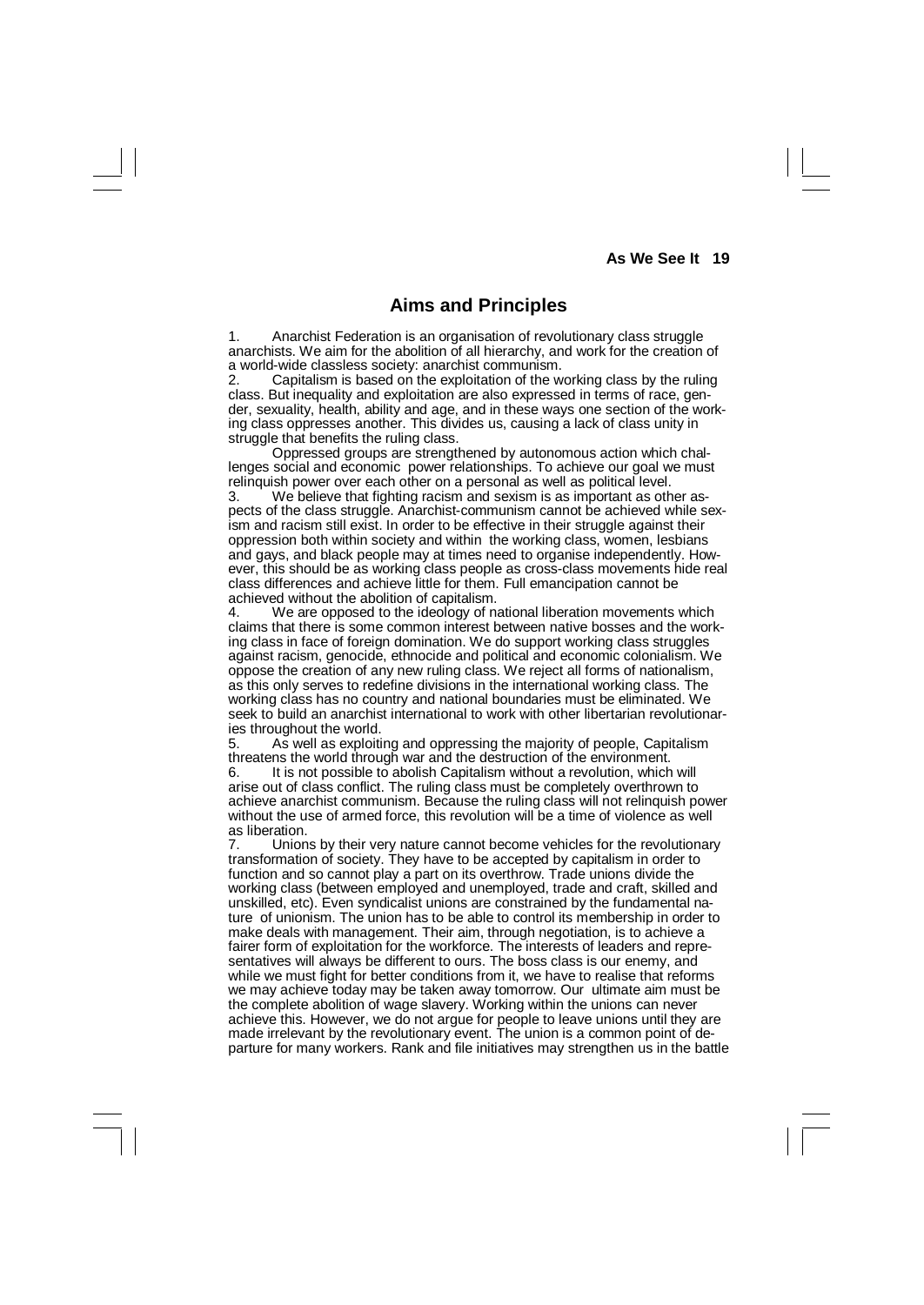#### **Aims and Principles**

1. Anarchist Federation is an organisation of revolutionary class struggle anarchists. We aim for the abolition of all hierarchy, and work for the creation of a world-wide classless society: anarchist communism.

2. Capitalism is based on the exploitation of the working class by the ruling class. But inequality and exploitation are also expressed in terms of race, gender, sexuality, health, ability and age, and in these ways one section of the working class oppresses another. This divides us, causing a lack of class unity in struggle that benefits the ruling class.

 Oppressed groups are strengthened by autonomous action which challenges social and economic power relationships. To achieve our goal we must relinquish power over each other on a personal as well as political level.

3. We believe that fighting racism and sexism is as important as other aspects of the class struggle. Anarchist-communism cannot be achieved while sexism and racism still exist. In order to be effective in their struggle against their oppression both within society and within the working class, women, lesbians and gays, and black people may at times need to organise independently. However, this should be as working class people as cross-class movements hide real class differences and achieve little for them. Full emancipation cannot be achieved without the abolition of capitalism.

We are opposed to the ideology of national liberation movements which claims that there is some common interest between native bosses and the working class in face of foreign domination. We do support working class struggles against racism, genocide, ethnocide and political and economic colonialism. We oppose the creation of any new ruling class. We reject all forms of nationalism, as this only serves to redefine divisions in the international working class. The working class has no country and national boundaries must be eliminated. We seek to build an anarchist international to work with other libertarian revolutionaries throughout the world.<br>5. As well as exploition

As well as exploiting and oppressing the majority of people, Capitalism threatens the world through war and the destruction of the environment.

6. It is not possible to abolish Capitalism without a revolution, which will arise out of class conflict. The ruling class must be completely overthrown to achieve anarchist communism. Because the ruling class will not relinquish power without the use of armed force, this revolution will be a time of violence as well as liberation.

7. Unions by their very nature cannot become vehicles for the revolutionary transformation of society. They have to be accepted by capitalism in order to function and so cannot play a part on its overthrow. Trade unions divide the working class (between employed and unemployed, trade and craft, skilled and unskilled, etc). Even syndicalist unions are constrained by the fundamental nature of unionism. The union has to be able to control its membership in order to make deals with management. Their aim, through negotiation, is to achieve a fairer form of exploitation for the workforce. The interests of leaders and representatives will always be different to ours. The boss class is our enemy, and while we must fight for better conditions from it, we have to realise that reforms we may achieve today may be taken away tomorrow. Our ultimate aim must be the complete abolition of wage slavery. Working within the unions can never achieve this. However, we do not argue for people to leave unions until they are made irrelevant by the revolutionary event. The union is a common point of departure for many workers. Rank and file initiatives may strengthen us in the battle